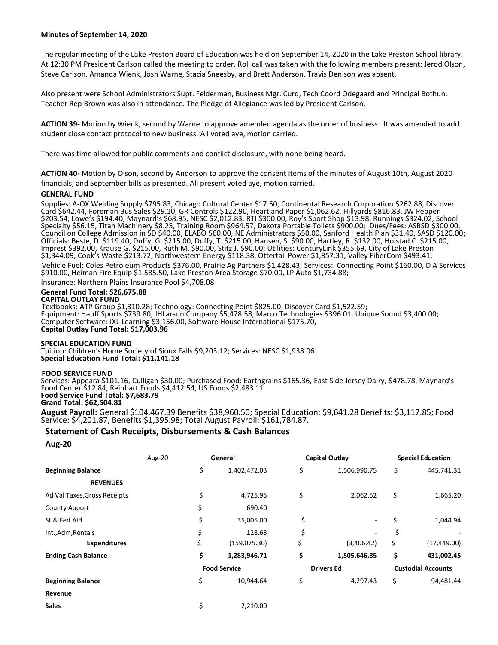### **Minutes of September 14, 2020**

The regular meeting of the Lake Preston Board of Education was held on September 14, 2020 in the Lake Preston School library. At 12:30 PM President Carlson called the meeting to order. Roll call was taken with the following members present: Jerod Olson, Steve Carlson, Amanda Wienk, Josh Warne, Stacia Sneesby, and Brett Anderson. Travis Denison was absent.

Also present were School Administrators Supt. Felderman, Business Mgr. Curd, Tech Coord Odegaard and Principal Bothun. Teacher Rep Brown was also in attendance. The Pledge of Allegiance was led by President Carlson.

**ACTION 39-** Motion by Wienk, second by Warne to approve amended agenda as the order of business. It was amended to add student close contact protocol to new business. All voted aye, motion carried.

There was time allowed for public comments and conflict disclosure, with none being heard.

**ACTION 40-** Motion by Olson, second by Anderson to approve the consent items of the minutes of August 10th, August 2020 financials, and September bills as presented. All present voted aye, motion carried.

### **GENERAL FUND**

Supplies: A-OX Welding Supply \$795.83, Chicago Cultural Center \$17.50, Continental Research Corporation \$262.88, Discover Card \$642.44, Foreman Bus Sales \$29.10, GR Controls \$122.90, Heartland Paper \$1,062.62, Hillyards \$816.83, JW Pepper \$203.54, Lowe's \$194.40, Maynard's \$68.95, NESC \$2,012.83, RTI \$300.00, Roy's Sport Shop \$13.98, Runnings \$324.02, School Specialty \$56.15, Titan Machinery \$8.25, Training Room \$964.57, Dakota Portable Toilets \$900.00; Dues/Fees: ASBSD \$300.00, Council on College Admission in SD \$40.00, ELABO \$60.00, NE Administrators \$50.00, Sanford Health Plan \$31.40, SASD \$120.00; Officials: Beste, D. \$119.40, Duffy, G. \$215.00, Duffy, T. \$215.00, Hansen, S. \$90.00, Hartley, R. \$132.00, Hoistad C. \$215.00, Imprest \$392.00, Krause G. \$215.00, Ruth M. \$90.00, Stitz J. \$90.00; Utilities: CenturyLink \$355.69, City of Lake Preston \$1,344.09, Cook's Waste \$213.72, Northwestern Energy \$118.38, Ottertail Power \$1,857.31, Valley FiberCom \$493.41;

Vehicle Fuel: Coles Petroleum Products \$376.00, Prairie Ag Partners \$1,428.43; Services: Connecting Point \$160.00, D A Services \$910.00, Heiman Fire Equip \$1,585.50, Lake Preston Area Storage \$70.00, LP Auto \$1,734.88;

Insurance: Northern Plains Insurance Pool \$4,708.08

## **General Fund Total: \$26,675.88**

## **CAPITAL OUTLAY FUND**

Textbooks: ATP Group \$1,310.28; Technology: Connecting Point \$825.00, Discover Card \$1,522.59; Equipment: Hauff Sports \$739.80, JHLarson Company \$5,478.58, Marco Technologies \$396.01, Unique Sound \$3,400.00; Computer Software: IXL Learning \$3,156.00, Software House International \$175.70, **Capital Outlay Fund Total: \$17,003.96**

### **SPECIAL EDUCATION FUND**

Tuition: Children's Home Society of Sioux Falls \$9,203.12; Services: NESC \$1,938.06 **Special Education Fund Total: \$11,141.18**

### **FOOD SERVICE FUND**

Services: Appeara \$101.16, Culligan \$30.00; Purchased Food: Earthgrains \$165.36, East Side Jersey Dairy, \$478.78, Maynard's Food Center \$12.84, Reinhart Foods \$4,412.54, US Foods \$2,483.11 **Food Service Fund Total: \$7,683.79**

# **Grand Total: \$62,504.81**

**August Payroll:** General \$104,467.39 Benefits \$38,960.50; Special Education: \$9,641.28 Benefits: \$3,117.85; Food Service: \$4,201.87, Benefits \$1,395.98; Total August Payroll: \$161,784.87.

## **Statement of Cash Receipts, Disbursements & Cash Balances**

**Sales**  $\frac{1}{2}$  2,210.00

### **Aug-20**

|                              | Aug-20 |                     | General      |    | <b>Capital Outlay</b> |    | <b>Special Education</b>  |  |
|------------------------------|--------|---------------------|--------------|----|-----------------------|----|---------------------------|--|
| <b>Beginning Balance</b>     | \$     |                     | 1,402,472.03 | \$ | 1,506,990.75          | \$ | 445,741.31                |  |
| <b>REVENUES</b>              |        |                     |              |    |                       |    |                           |  |
| Ad Val Taxes, Gross Receipts | \$     |                     | 4,725.95     | \$ | 2.062.52              | \$ | 1,665.20                  |  |
| <b>County Apport</b>         | \$     |                     | 690.40       |    |                       |    |                           |  |
| St.& Fed.Aid                 | \$     |                     | 35,005.00    | \$ | ٠                     | \$ | 1,044.94                  |  |
| Int., Adm, Rentals           | \$     |                     | 128.63       | \$ |                       | \$ |                           |  |
| <b>Expenditures</b>          | \$     |                     | (159,075.30) | \$ | (3,406.42)            | \$ | (17, 449.00)              |  |
| <b>Ending Cash Balance</b>   | \$     |                     | 1,283,946.71 | \$ | 1,505,646.85          | \$ | 431,002.45                |  |
|                              |        | <b>Food Service</b> |              |    | <b>Drivers Ed</b>     |    | <b>Custodial Accounts</b> |  |
| <b>Beginning Balance</b>     | \$     |                     | 10,944.64    | \$ | 4,297.43              | \$ | 94,481.44                 |  |
| Revenue                      |        |                     |              |    |                       |    |                           |  |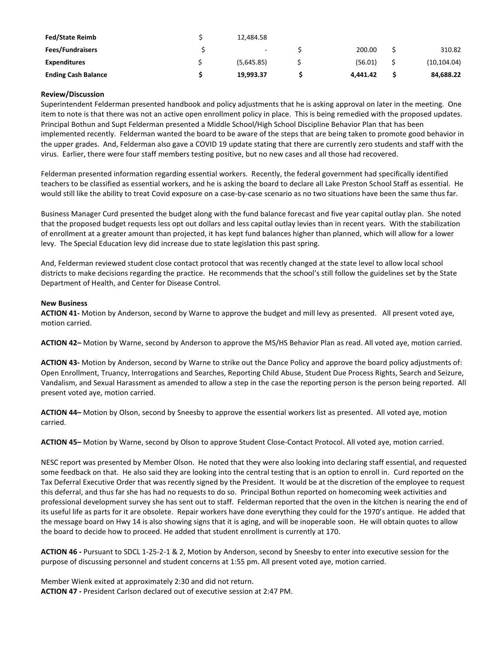| <b>Fed/State Reimb</b>     | 12.484.58  |          |              |
|----------------------------|------------|----------|--------------|
| <b>Fees/Fundraisers</b>    | $\sim$     | 200.00   | 310.82       |
| <b>Expenditures</b>        | (5,645.85) | (56.01)  | (10, 104.04) |
| <b>Ending Cash Balance</b> | 19.993.37  | 4.441.42 | 84,688.22    |

## **Review/Discussion**

Superintendent Felderman presented handbook and policy adjustments that he is asking approval on later in the meeting. One item to note is that there was not an active open enrollment policy in place. This is being remedied with the proposed updates. Principal Bothun and Supt Felderman presented a Middle School/High School Discipline Behavior Plan that has been implemented recently. Felderman wanted the board to be aware of the steps that are being taken to promote good behavior in the upper grades. And, Felderman also gave a COVID 19 update stating that there are currently zero students and staff with the virus. Earlier, there were four staff members testing positive, but no new cases and all those had recovered.

Felderman presented information regarding essential workers. Recently, the federal government had specifically identified teachers to be classified as essential workers, and he is asking the board to declare all Lake Preston School Staff as essential. He would still like the ability to treat Covid exposure on a case-by-case scenario as no two situations have been the same thus far.

Business Manager Curd presented the budget along with the fund balance forecast and five year capital outlay plan. She noted that the proposed budget requests less opt out dollars and less capital outlay levies than in recent years. With the stabilization of enrollment at a greater amount than projected, it has kept fund balances higher than planned, which will allow for a lower levy. The Special Education levy did increase due to state legislation this past spring.

And, Felderman reviewed student close contact protocol that was recently changed at the state level to allow local school districts to make decisions regarding the practice. He recommends that the school's still follow the guidelines set by the State Department of Health, and Center for Disease Control.

## **New Business**

**ACTION 41-** Motion by Anderson, second by Warne to approve the budget and mill levy as presented. All present voted aye, motion carried.

**ACTION 42–** Motion by Warne, second by Anderson to approve the MS/HS Behavior Plan as read. All voted aye, motion carried.

**ACTION 43-** Motion by Anderson, second by Warne to strike out the Dance Policy and approve the board policy adjustments of: Open Enrollment, Truancy, Interrogations and Searches, Reporting Child Abuse, Student Due Process Rights, Search and Seizure, Vandalism, and Sexual Harassment as amended to allow a step in the case the reporting person is the person being reported. All present voted aye, motion carried.

**ACTION 44–** Motion by Olson, second by Sneesby to approve the essential workers list as presented. All voted aye, motion carried.

**ACTION 45–** Motion by Warne, second by Olson to approve Student Close-Contact Protocol. All voted aye, motion carried.

NESC report was presented by Member Olson. He noted that they were also looking into declaring staff essential, and requested some feedback on that. He also said they are looking into the central testing that is an option to enroll in. Curd reported on the Tax Deferral Executive Order that was recently signed by the President. It would be at the discretion of the employee to request this deferral, and thus far she has had no requests to do so. Principal Bothun reported on homecoming week activities and professional development survey she has sent out to staff. Felderman reported that the oven in the kitchen is nearing the end of its useful life as parts for it are obsolete. Repair workers have done everything they could for the 1970's antique. He added that the message board on Hwy 14 is also showing signs that it is aging, and will be inoperable soon. He will obtain quotes to allow the board to decide how to proceed. He added that student enrollment is currently at 170.

**ACTION 46 -** Pursuant to SDCL 1-25-2-1 & 2, Motion by Anderson, second by Sneesby to enter into executive session for the purpose of discussing personnel and student concerns at 1:55 pm. All present voted aye, motion carried.

Member Wienk exited at approximately 2:30 and did not return. **ACTION 47 -** President Carlson declared out of executive session at 2:47 PM.